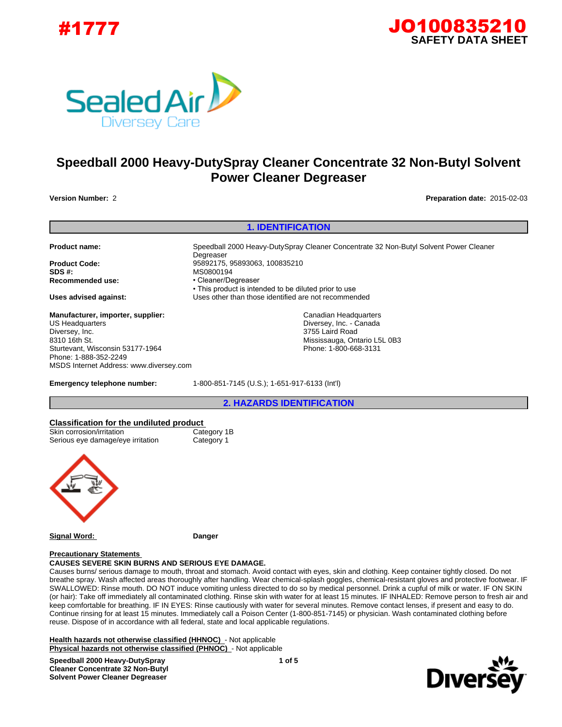





# **Speedball 2000 Heavy-DutySpray Cleaner Concentrate 32 Non-Butyl Solvent Power Cleaner Degreaser**

**Version Number:** 2 **Preparation date:** 2015-02-03

**1. IDENTIFICATION Product name:** Speedball 2000 Heavy-DutySpray Cleaner Concentrate 32 Non-Butyl Solvent Power Cleaner **Degreaser Product Code:** 95892175, 95893063, 100835210 **SDS #:** MS0800194 Recommended use: • Cleaner/Degreaser • This product is intended to be diluted prior to use **Uses advised against:** Uses other than those identified are not recommended **Emergency telephone number:** 1-800-851-7145 (U.S.); 1-651-917-6133 (Int'l) **2. HAZARDS IDENTIFICATION Classification for the undiluted product**  Skin corrosion/irritation Category 1B Serious eye damage/eye irritation Category 1 **Manufacturer, importer, supplier:** US Headquarters Diversey, Inc. 8310 16th St. Sturtevant, Wisconsin 53177-1964 Phone: 1-888-352-2249 MSDS Internet Address: www.diversey.com Canadian Headquarters Diversey, Inc. - Canada 3755 Laird Road Mississauga, Ontario L5L 0B3 Phone: 1-800-668-3131



**Signal Word: Danger**

### **Precautionary Statements**

**CAUSES SEVERE SKIN BURNS AND SERIOUS EYE DAMAGE.**

Causes burns/ serious damage to mouth, throat and stomach. Avoid contact with eyes, skin and clothing. Keep container tightly closed. Do not breathe spray. Wash affected areas thoroughly after handling. Wear chemical-splash goggles, chemical-resistant gloves and protective footwear. IF SWALLOWED: Rinse mouth. DO NOT induce vomiting unless directed to do so by medical personnel. Drink a cupful of milk or water. IF ON SKIN (or hair): Take off immediately all contaminated clothing. Rinse skin with water for at least 15 minutes. IF INHALED: Remove person to fresh air and keep comfortable for breathing. IF IN EYES: Rinse cautiously with water for several minutes. Remove contact lenses, if present and easy to do. Continue rinsing for at least 15 minutes. Immediately call a Poison Center (1-800-851-7145) or physician. Wash contaminated clothing before reuse. Dispose of in accordance with all federal, state and local applicable regulations.

**Health hazards not otherwise classified (HHNOC)** - Not applicable **Physical hazards not otherwise classified (PHNOC)** - Not applicable

**Speedball 2000 Heavy-DutySpray Cleaner Concentrate 32 Non-Butyl Solvent Power Cleaner Degreaser**

**1 of 5**

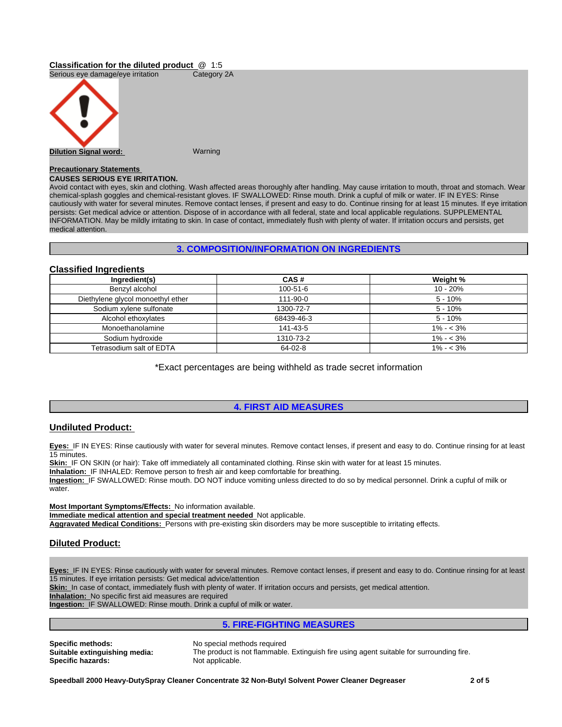# **Classification for the diluted product** @ 1:5

Serious eye damage/eye irritation Category 2A



# **Precautionary Statements**

# **CAUSES SERIOUS EYE IRRITATION.**

Avoid contact with eyes, skin and clothing. Wash affected areas thoroughly after handling. May cause irritation to mouth, throat and stomach. Wear chemical-splash goggles and chemical-resistant gloves. IF SWALLOWED: Rinse mouth. Drink a cupful of milk or water. IF IN EYES: Rinse cautiously with water for several minutes. Remove contact lenses, if present and easy to do. Continue rinsing for at least 15 minutes. If eye irritation persists: Get medical advice or attention. Dispose of in accordance with all federal, state and local applicable regulations. SUPPLEMENTAL INFORMATION. May be mildly irritating to skin. In case of contact, immediately flush with plenty of water. If irritation occurs and persists, get medical attention.

# **3. COMPOSITION/INFORMATION ON INGREDIENTS**

### **Classified Ingredients**

| Ingredient(s)                     | CAS#       | Weight %    |
|-----------------------------------|------------|-------------|
| Benzyl alcohol                    | 100-51-6   | $10 - 20%$  |
| Diethylene glycol monoethyl ether | 111-90-0   | $5 - 10%$   |
| Sodium xylene sulfonate           | 1300-72-7  | 5 - 10%     |
| Alcohol ethoxylates               | 68439-46-3 | 5 - 10%     |
| Monoethanolamine                  | 141-43-5   | $1\% - 3\%$ |
| Sodium hydroxide                  | 1310-73-2  | $1\% - 3\%$ |
| Tetrasodium salt of EDTA          | 64-02-8    | $1\% - 3\%$ |

\*Exact percentages are being withheld as trade secret information

# **4. FIRST AID MEASURES**

# **Undiluted Product:**

**Eyes:** IF IN EYES: Rinse cautiously with water for several minutes. Remove contact lenses, if present and easy to do. Continue rinsing for at least 15 minutes.

**Skin:** IF ON SKIN (or hair): Take off immediately all contaminated clothing. Rinse skin with water for at least 15 minutes.

**Inhalation:** IF INHALED: Remove person to fresh air and keep comfortable for breathing.

**Ingestion:** IF SWALLOWED: Rinse mouth. DO NOT induce vomiting unless directed to do so by medical personnel. Drink a cupful of milk or water.

**Most Important Symptoms/Effects:** No information available. **Immediate medical attention and special treatment needed** Not applicable. **Aggravated Medical Conditions:** Persons with pre-existing skin disorders may be more susceptible to irritating effects.

# **Diluted Product:**

**Eyes:** IF IN EYES: Rinse cautiously with water for several minutes. Remove contact lenses, if present and easy to do. Continue rinsing for at least 15 minutes. If eye irritation persists: Get medical advice/attention

Skin: In case of contact, immediately flush with plenty of water. If irritation occurs and persists, get medical attention.

**Inhalation:** No specific first aid measures are required

**Ingestion:** IF SWALLOWED: Rinse mouth. Drink a cupful of milk or water.

# **5. FIRE-FIGHTING MEASURES**

**Specific methods:** No special methods required<br> **Suitable extinguishing media:** The product is not flammable **Specific hazards:** 

The product is not flammable. Extinguish fire using agent suitable for surrounding fire.<br>Not applicable.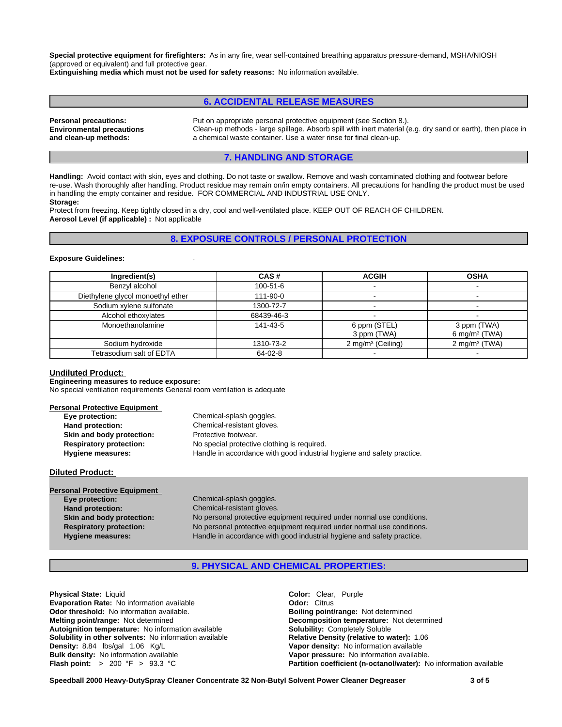**Special protective equipment for firefighters:** As in any fire, wear self-contained breathing apparatus pressure-demand, MSHA/NIOSH (approved or equivalent) and full protective gear.

**Extinguishing media which must not be used for safety reasons:** No information available.

# **6. ACCIDENTAL RELEASE MEASURES**

**Environmental precautions and clean-up methods:**

**Personal precautions:** Put on appropriate personal protective equipment (see Section 8.). Clean-up methods - large spillage. Absorb spill with inert material (e.g. dry sand or earth), then place in a chemical waste container. Use a water rinse for final clean-up.

### **7. HANDLING AND STORAGE**

**Handling:** Avoid contact with skin, eyes and clothing. Do not taste or swallow. Remove and wash contaminated clothing and footwear before re-use. Wash thoroughly after handling. Product residue may remain on/in empty containers. All precautions for handling the product must be used in handling the empty container and residue. FOR COMMERCIAL AND INDUSTRIAL USE ONLY. **Storage:**

Protect from freezing. Keep tightly closed in a dry, cool and well-ventilated place. KEEP OUT OF REACH OF CHILDREN. **Aerosol Level (if applicable) :** Not applicable

### **8. EXPOSURE CONTROLS / PERSONAL PROTECTION**

#### **Exposure Guidelines:** .

| Ingredient(s)                     | CAS#       | <b>ACGIH</b>                | <b>OSHA</b>                     |
|-----------------------------------|------------|-----------------------------|---------------------------------|
| Benzyl alcohol                    | 100-51-6   |                             |                                 |
| Diethylene glycol monoethyl ether | 111-90-0   |                             |                                 |
| Sodium xylene sulfonate           | 1300-72-7  |                             |                                 |
| Alcohol ethoxylates               | 68439-46-3 |                             |                                 |
| Monoethanolamine                  | 141-43-5   | 6 ppm (STEL)<br>3 ppm (TWA) | 3 ppm (TWA)<br>6 mg/m $3$ (TWA) |
| Sodium hydroxide                  | 1310-73-2  | 2 mg/m $3$ (Ceiling)        | 2 mg/m $3$ (TWA)                |
| Tetrasodium salt of EDTA          | 64-02-8    |                             |                                 |

### **Undiluted Product:**

**Engineering measures to reduce exposure:**

No special ventilation requirements General room ventilation is adequate

### **Personal Protective Equipment**

| Eye protection:                | Chemical-splash goggles.                                               |
|--------------------------------|------------------------------------------------------------------------|
| Hand protection:               | Chemical-resistant gloves.                                             |
| Skin and body protection:      | Protective footwear.                                                   |
| <b>Respiratory protection:</b> | No special protective clothing is required.                            |
| Hygiene measures:              | Handle in accordance with good industrial hygiene and safety practice. |

#### **Diluted Product:**

| <b>Personal Protective Equipment</b> |                                                                        |
|--------------------------------------|------------------------------------------------------------------------|
| Eye protection:                      | Chemical-splash goggles.                                               |
| Hand protection:                     | Chemical-resistant gloves.                                             |
| Skin and body protection:            | No personal protective equipment required under normal use conditions. |
| <b>Respiratory protection:</b>       | No personal protective equipment required under normal use conditions. |
| <b>Hygiene measures:</b>             | Handle in accordance with good industrial hygiene and safety practice. |
|                                      |                                                                        |

# **9. PHYSICAL AND CHEMICAL PROPERTIES:**

**Physical State:** Liquid **Color:** Clear, Purple **Evaporation Rate:** No information available **Configuration Configuration Configuration available <b>Configuration Configuration Configuration available. Configuration available. Boiling point/range:** Not determined **Odor threshold: No information available.**<br>**Melting point/range: Not determined Autoignition temperature:** No information available **Solubility:** Completely Soluble **Solubility in other solvents: No information available Density:** 8.84 lbs/gal 1.06 Kg/L **Vapor density:** No information available **Bulk density:** No information available **Vapor pressure:** No information available.

**Decomposition temperature:** Not determined **Flash point:** > 200 °F > 93.3 °C **Partition coefficient (n-octanol/water):** No information available

**Speedball 2000 Heavy-DutySpray Cleaner Concentrate 32 Non-Butyl Solvent Power Cleaner Degreaser 3 of 5**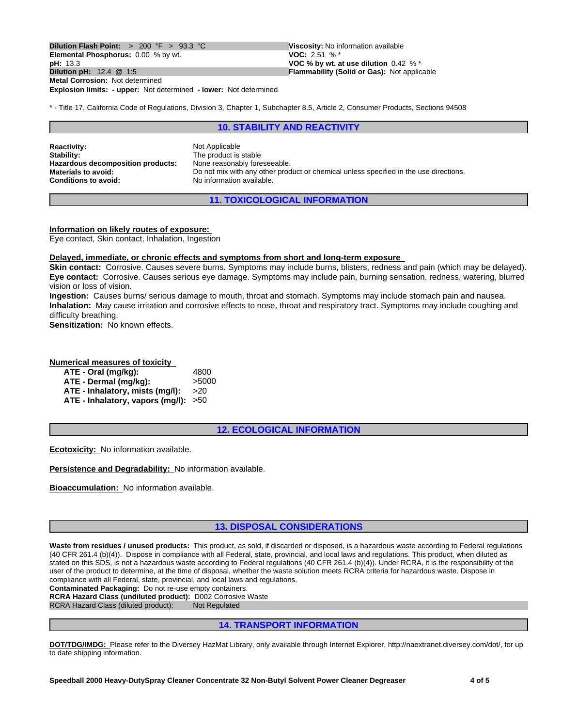**Explosion limits: - upper:** Not determined **- lower:** Not determined **Dilution Flash Point:**  $> 200 \text{ °F} > 93.3 \text{ °C}$  Viscosity: No information available<br>**Elemental Phosphorus:** 0.00 % by wt. **VOC:** 2.51 % \* **Elemental Phosphorus:** 0.00 % by wt.<br>**pH:** 13.3 **pH:** 13.3 **VOC % by wt. at use dilution** 0.42 % \* **Metal Corrosion:** Not determined

**Flammability (Solid or Gas): Not applicable** 

\* - Title 17, California Code of Regulations, Division 3, Chapter 1, Subchapter 8.5, Article 2, Consumer Products, Sections 94508

### **10. STABILITY AND REACTIVITY**

**Reactivity:** Not Applicable **Stability:** The product is stable<br> **Hazardous decomposition products:** None reasonably foreseeable. **Hazardous decomposition products:**<br>Materials to avoid:

**Materials to avoid:** Do not mix with any other product or chemical unless specified in the use directions.<br> **Conditions to avoid:** No information available. **Conditions to avoid:** No information available.

**11. TOXICOLOGICAL INFORMATION**

### **Information on likely routes of exposure:**

Eye contact, Skin contact, Inhalation, Ingestion

### **Delayed, immediate, or chronic effects and symptoms from short and long-term exposure**

**Skin contact:** Corrosive. Causes severe burns. Symptoms may include burns, blisters, redness and pain (which may be delayed). **Eye contact:** Corrosive. Causes serious eye damage. Symptoms may include pain, burning sensation, redness, watering, blurred vision or loss of vision.

**Ingestion:** Causes burns/ serious damage to mouth, throat and stomach. Symptoms may include stomach pain and nausea. **Inhalation:** May cause irritation and corrosive effects to nose, throat and respiratory tract. Symptoms may include coughing and difficulty breathing.

**Sensitization:** No known effects.

### **Numerical measures of toxicity**

| ATE - Oral (mg/kg):                  | 4800  |
|--------------------------------------|-------|
| ATE - Dermal (mg/kg):                | >5000 |
| ATE - Inhalatory, mists (mg/l):      | >20   |
| ATE - Inhalatory, vapors (mg/l): >50 |       |

### **12. ECOLOGICAL INFORMATION**

**Ecotoxicity:** No information available.

**Persistence and Degradability:** No information available.

**Bioaccumulation:** No information available.

# **13. DISPOSAL CONSIDERATIONS**

Waste from residues / unused products: This product, as sold, if discarded or disposed, is a hazardous waste according to Federal regulations (40 CFR 261.4 (b)(4)). Dispose in compliance with all Federal, state, provincial, and local laws and regulations. This product, when diluted as stated on this SDS, is not a hazardous waste according to Federal regulations (40 CFR 261.4 (b)(4)). Under RCRA, it is the responsibility of the user of the product to determine, at the time of disposal, whether the waste solution meets RCRA criteria for hazardous waste. Dispose in compliance with all Federal, state, provincial, and local laws and regulations.

**Contaminated Packaging:** Do not re-use empty containers.

**RCRA Hazard Class (undiluted product):** D002 Corrosive Waste RCRA Hazard Class (diluted product): Not Regulated

### **14. TRANSPORT INFORMATION**

**DOT/TDG/IMDG:** Please refer to the Diversey HazMat Library, only available through Internet Explorer, http://naextranet.diversey.com/dot/, for up to date shipping information.